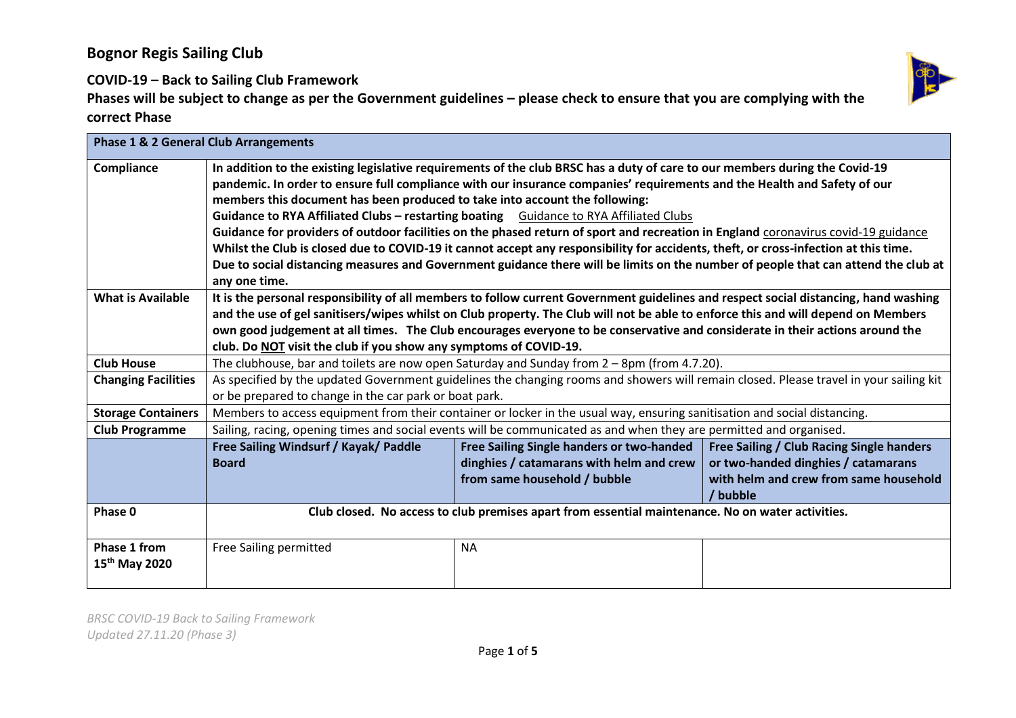# **Bognor Regis Sailing Club**

**COVID-19 – Back to Sailing Club Framework**

| <b>Phase 1 &amp; 2 General Club Arrangements</b> |                                                                                                                                        |                                           |                                           |
|--------------------------------------------------|----------------------------------------------------------------------------------------------------------------------------------------|-------------------------------------------|-------------------------------------------|
| Compliance                                       | In addition to the existing legislative requirements of the club BRSC has a duty of care to our members during the Covid-19            |                                           |                                           |
|                                                  | pandemic. In order to ensure full compliance with our insurance companies' requirements and the Health and Safety of our               |                                           |                                           |
|                                                  | members this document has been produced to take into account the following:                                                            |                                           |                                           |
|                                                  | Guidance to RYA Affiliated Clubs - restarting boating Guidance to RYA Affiliated Clubs                                                 |                                           |                                           |
|                                                  | Guidance for providers of outdoor facilities on the phased return of sport and recreation in England coronavirus covid-19 guidance     |                                           |                                           |
|                                                  | Whilst the Club is closed due to COVID-19 it cannot accept any responsibility for accidents, theft, or cross-infection at this time.   |                                           |                                           |
|                                                  | Due to social distancing measures and Government guidance there will be limits on the number of people that can attend the club at     |                                           |                                           |
|                                                  | any one time.                                                                                                                          |                                           |                                           |
| <b>What is Available</b>                         | It is the personal responsibility of all members to follow current Government guidelines and respect social distancing, hand washing   |                                           |                                           |
|                                                  | and the use of gel sanitisers/wipes whilst on Club property. The Club will not be able to enforce this and will depend on Members      |                                           |                                           |
|                                                  | own good judgement at all times. The Club encourages everyone to be conservative and considerate in their actions around the           |                                           |                                           |
|                                                  | club. Do NOT visit the club if you show any symptoms of COVID-19.                                                                      |                                           |                                           |
| <b>Club House</b>                                | The clubhouse, bar and toilets are now open Saturday and Sunday from $2 - 8$ pm (from 4.7.20).                                         |                                           |                                           |
| <b>Changing Facilities</b>                       | As specified by the updated Government guidelines the changing rooms and showers will remain closed. Please travel in your sailing kit |                                           |                                           |
|                                                  | or be prepared to change in the car park or boat park.                                                                                 |                                           |                                           |
| <b>Storage Containers</b>                        | Members to access equipment from their container or locker in the usual way, ensuring sanitisation and social distancing.              |                                           |                                           |
| <b>Club Programme</b>                            | Sailing, racing, opening times and social events will be communicated as and when they are permitted and organised.                    |                                           |                                           |
|                                                  | Free Sailing Windsurf / Kayak/ Paddle                                                                                                  | Free Sailing Single handers or two-handed | Free Sailing / Club Racing Single handers |
|                                                  | <b>Board</b>                                                                                                                           | dinghies / catamarans with helm and crew  | or two-handed dinghies / catamarans       |
|                                                  |                                                                                                                                        | from same household / bubble              | with helm and crew from same household    |
|                                                  |                                                                                                                                        |                                           | / bubble                                  |
| Phase 0                                          | Club closed. No access to club premises apart from essential maintenance. No on water activities.                                      |                                           |                                           |
|                                                  |                                                                                                                                        |                                           |                                           |
| Phase 1 from                                     | <b>Free Sailing permitted</b>                                                                                                          | <b>NA</b>                                 |                                           |
| 15 <sup>th</sup> May 2020                        |                                                                                                                                        |                                           |                                           |
|                                                  |                                                                                                                                        |                                           |                                           |

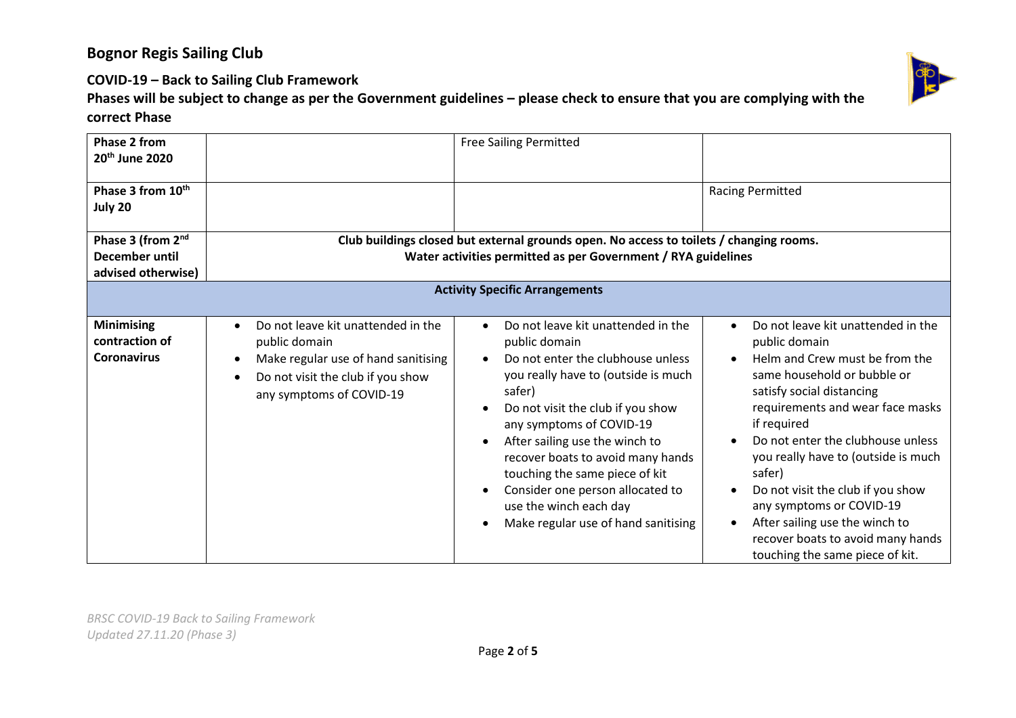# **Bognor Regis Sailing Club**

**COVID-19 – Back to Sailing Club Framework**

| Phase 2 from<br>20 <sup>th</sup> June 2020                |                                                                                                                                                                                       | <b>Free Sailing Permitted</b>                                                                                                                                                                                                                                                                                                                                                                                                                                                |                                                                                                                                                                                                                                                                                                                                                                                                                                                                       |  |
|-----------------------------------------------------------|---------------------------------------------------------------------------------------------------------------------------------------------------------------------------------------|------------------------------------------------------------------------------------------------------------------------------------------------------------------------------------------------------------------------------------------------------------------------------------------------------------------------------------------------------------------------------------------------------------------------------------------------------------------------------|-----------------------------------------------------------------------------------------------------------------------------------------------------------------------------------------------------------------------------------------------------------------------------------------------------------------------------------------------------------------------------------------------------------------------------------------------------------------------|--|
| Phase 3 from 10 <sup>th</sup><br>July 20                  |                                                                                                                                                                                       |                                                                                                                                                                                                                                                                                                                                                                                                                                                                              | <b>Racing Permitted</b>                                                                                                                                                                                                                                                                                                                                                                                                                                               |  |
| Phase 3 (from 2 <sup>nd</sup>                             |                                                                                                                                                                                       | Club buildings closed but external grounds open. No access to toilets / changing rooms.                                                                                                                                                                                                                                                                                                                                                                                      |                                                                                                                                                                                                                                                                                                                                                                                                                                                                       |  |
| <b>December until</b>                                     |                                                                                                                                                                                       | Water activities permitted as per Government / RYA guidelines                                                                                                                                                                                                                                                                                                                                                                                                                |                                                                                                                                                                                                                                                                                                                                                                                                                                                                       |  |
| advised otherwise)                                        |                                                                                                                                                                                       |                                                                                                                                                                                                                                                                                                                                                                                                                                                                              |                                                                                                                                                                                                                                                                                                                                                                                                                                                                       |  |
| <b>Activity Specific Arrangements</b>                     |                                                                                                                                                                                       |                                                                                                                                                                                                                                                                                                                                                                                                                                                                              |                                                                                                                                                                                                                                                                                                                                                                                                                                                                       |  |
| <b>Minimising</b><br>contraction of<br><b>Coronavirus</b> | Do not leave kit unattended in the<br>$\bullet$<br>public domain<br>Make regular use of hand sanitising<br>Do not visit the club if you show<br>$\bullet$<br>any symptoms of COVID-19 | Do not leave kit unattended in the<br>$\bullet$<br>public domain<br>Do not enter the clubhouse unless<br>$\bullet$<br>you really have to (outside is much<br>safer)<br>Do not visit the club if you show<br>any symptoms of COVID-19<br>After sailing use the winch to<br>$\bullet$<br>recover boats to avoid many hands<br>touching the same piece of kit<br>Consider one person allocated to<br>$\bullet$<br>use the winch each day<br>Make regular use of hand sanitising | Do not leave kit unattended in the<br>public domain<br>Helm and Crew must be from the<br>same household or bubble or<br>satisfy social distancing<br>requirements and wear face masks<br>if required<br>Do not enter the clubhouse unless<br>you really have to (outside is much<br>safer)<br>Do not visit the club if you show<br>any symptoms or COVID-19<br>After sailing use the winch to<br>recover boats to avoid many hands<br>touching the same piece of kit. |  |

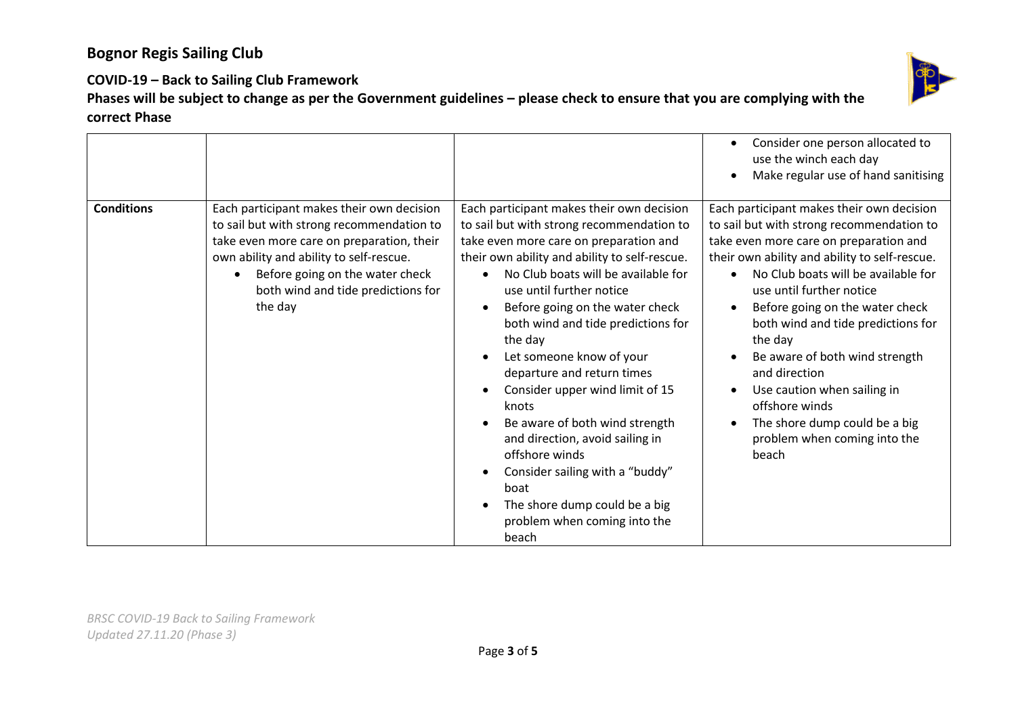

### **COVID-19 – Back to Sailing Club Framework**

|                   |                                                                                                                                                                                                                                                                                 |                                                                                                                                                                                                                                                                                                                                                                                                                                                                                                                                                                                                                                                                                                                                                       | Consider one person allocated to<br>use the winch each day<br>Make regular use of hand sanitising                                                                                                                                                                                                                                                                                                                                                                                                                      |
|-------------------|---------------------------------------------------------------------------------------------------------------------------------------------------------------------------------------------------------------------------------------------------------------------------------|-------------------------------------------------------------------------------------------------------------------------------------------------------------------------------------------------------------------------------------------------------------------------------------------------------------------------------------------------------------------------------------------------------------------------------------------------------------------------------------------------------------------------------------------------------------------------------------------------------------------------------------------------------------------------------------------------------------------------------------------------------|------------------------------------------------------------------------------------------------------------------------------------------------------------------------------------------------------------------------------------------------------------------------------------------------------------------------------------------------------------------------------------------------------------------------------------------------------------------------------------------------------------------------|
| <b>Conditions</b> | Each participant makes their own decision<br>to sail but with strong recommendation to<br>take even more care on preparation, their<br>own ability and ability to self-rescue.<br>Before going on the water check<br>$\bullet$<br>both wind and tide predictions for<br>the day | Each participant makes their own decision<br>to sail but with strong recommendation to<br>take even more care on preparation and<br>their own ability and ability to self-rescue.<br>No Club boats will be available for<br>$\bullet$<br>use until further notice<br>Before going on the water check<br>$\bullet$<br>both wind and tide predictions for<br>the day<br>Let someone know of your<br>$\bullet$<br>departure and return times<br>Consider upper wind limit of 15<br>$\bullet$<br>knots<br>Be aware of both wind strength<br>$\bullet$<br>and direction, avoid sailing in<br>offshore winds<br>Consider sailing with a "buddy"<br>$\bullet$<br>boat<br>The shore dump could be a big<br>$\bullet$<br>problem when coming into the<br>beach | Each participant makes their own decision<br>to sail but with strong recommendation to<br>take even more care on preparation and<br>their own ability and ability to self-rescue.<br>No Club boats will be available for<br>use until further notice<br>Before going on the water check<br>both wind and tide predictions for<br>the day<br>Be aware of both wind strength<br>and direction<br>Use caution when sailing in<br>offshore winds<br>The shore dump could be a big<br>problem when coming into the<br>beach |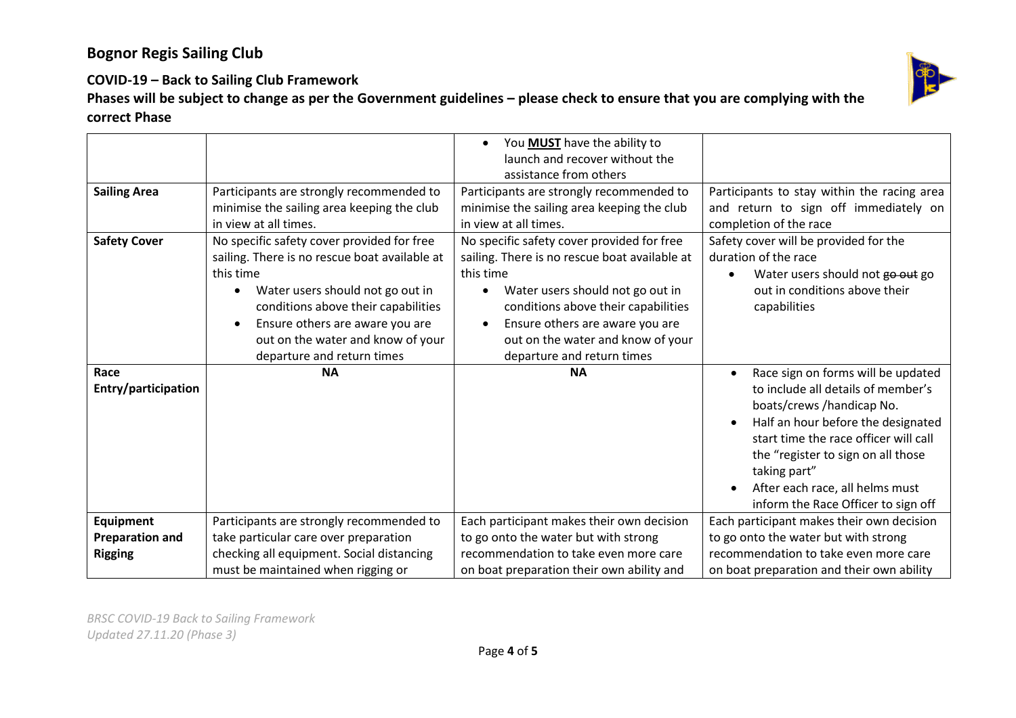

### **COVID-19 – Back to Sailing Club Framework**

|                                            |                                                                                                                                                                                                                | You MUST have the ability to<br>$\bullet$                                                                                                                                                                            |                                                                                                                                                                                                                                                                                                                     |
|--------------------------------------------|----------------------------------------------------------------------------------------------------------------------------------------------------------------------------------------------------------------|----------------------------------------------------------------------------------------------------------------------------------------------------------------------------------------------------------------------|---------------------------------------------------------------------------------------------------------------------------------------------------------------------------------------------------------------------------------------------------------------------------------------------------------------------|
|                                            |                                                                                                                                                                                                                | launch and recover without the                                                                                                                                                                                       |                                                                                                                                                                                                                                                                                                                     |
|                                            |                                                                                                                                                                                                                | assistance from others                                                                                                                                                                                               |                                                                                                                                                                                                                                                                                                                     |
| <b>Sailing Area</b><br><b>Safety Cover</b> | Participants are strongly recommended to<br>minimise the sailing area keeping the club<br>in view at all times.<br>No specific safety cover provided for free<br>sailing. There is no rescue boat available at | Participants are strongly recommended to<br>minimise the sailing area keeping the club<br>in view at all times.<br>No specific safety cover provided for free<br>sailing. There is no rescue boat available at       | Participants to stay within the racing area<br>and return to sign off immediately on<br>completion of the race<br>Safety cover will be provided for the<br>duration of the race                                                                                                                                     |
|                                            | this time<br>Water users should not go out in<br>conditions above their capabilities<br>Ensure others are aware you are<br>out on the water and know of your<br>departure and return times                     | this time<br>Water users should not go out in<br>$\bullet$<br>conditions above their capabilities<br>Ensure others are aware you are<br>$\bullet$<br>out on the water and know of your<br>departure and return times | Water users should not go out go<br>out in conditions above their<br>capabilities                                                                                                                                                                                                                                   |
| Race<br>Entry/participation                | <b>NA</b>                                                                                                                                                                                                      | <b>NA</b>                                                                                                                                                                                                            | Race sign on forms will be updated<br>to include all details of member's<br>boats/crews/handicap No.<br>Half an hour before the designated<br>start time the race officer will call<br>the "register to sign on all those<br>taking part"<br>After each race, all helms must<br>inform the Race Officer to sign off |
| Equipment                                  | Participants are strongly recommended to                                                                                                                                                                       | Each participant makes their own decision                                                                                                                                                                            | Each participant makes their own decision                                                                                                                                                                                                                                                                           |
| <b>Preparation and</b>                     | take particular care over preparation                                                                                                                                                                          | to go onto the water but with strong                                                                                                                                                                                 | to go onto the water but with strong                                                                                                                                                                                                                                                                                |
| <b>Rigging</b>                             | checking all equipment. Social distancing                                                                                                                                                                      | recommendation to take even more care                                                                                                                                                                                | recommendation to take even more care                                                                                                                                                                                                                                                                               |
|                                            | must be maintained when rigging or                                                                                                                                                                             | on boat preparation their own ability and                                                                                                                                                                            | on boat preparation and their own ability                                                                                                                                                                                                                                                                           |